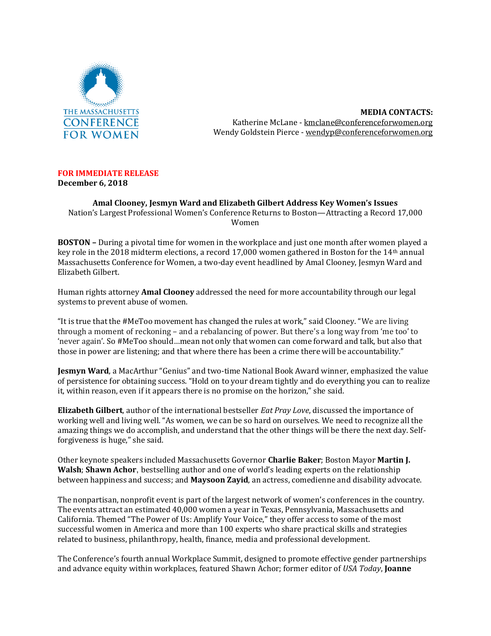

**MEDIA CONTACTS:** Katherine McLane - [kmclane@conferenceforwomen.org](mailto:kmclane@conferenceforwomen.org) Wendy Goldstein Pierce - wendyp@conferenceforwomen.org

## **FOR IMMEDIATE RELEASE**

**December 6, 2018** 

**Amal Clooney, Jesmyn Ward and Elizabeth Gilbert Address Key Women's Issues**  Nation's Largest Professional Women's Conference Returns to Boston—Attracting a Record 17,000 Women

**BOSTON –** During a pivotal time for women in the workplace and just one month after women played a key role in the 2018 midterm elections, a record 17,000 women gathered in Boston for the 14<sup>th</sup> annual Massachusetts Conference for Women, a two-day event headlined by Amal Clooney, Jesmyn Ward and Elizabeth Gilbert.

Human rights attorney **Amal Clooney** addressed the need for more accountability through our legal systems to prevent abuse of women.

"It is true that the #MeToo movement has changed the rules at work," said Clooney. "We are living through a moment of reckoning – and a rebalancing of power. But there's a long way from 'me too' to 'never again'. So #MeToo should…mean not only that women can come forward and talk, but also that those in power are listening; and that where there has been a crime there will be accountability."

**Jesmyn Ward**, a MacArthur "Genius" and two-time National Book Award winner, emphasized the value of persistence for obtaining success. "Hold on to your dream tightly and do everything you can to realize it, within reason, even if it appears there is no promise on the horizon," she said.

**Elizabeth Gilbert**, author of the international bestseller *Eat Pray Love*, discussed the importance of working well and living well. "As women, we can be so hard on ourselves. We need to recognize all the amazing things we do accomplish, and understand that the other things will be there the next day. Selfforgiveness is huge," she said.

Other keynote speakers included Massachusetts Governor **Charlie Baker**; Boston Mayor **Martin J. Walsh**; **Shawn Achor**, bestselling author and one of world's leading experts on the relationship between happiness and success; and **Maysoon Zayid**, an actress, comedienne and disability advocate.

The nonpartisan, nonprofit event is part of the largest network of women's conferences in the country. The events attract an estimated 40,000 women a year in Texas, Pennsylvania, Massachusetts and California. Themed "The Power of Us: Amplify Your Voice," they offer access to some of the most successful women in America and more than 100 experts who share practical skills and strategies related to business, philanthropy, health, finance, media and professional development.

The Conference's fourth annual Workplace Summit, designed to promote effective gender partnerships and advance equity within workplaces, featured Shawn Achor; former editor of *USA Today*, **Joanne**